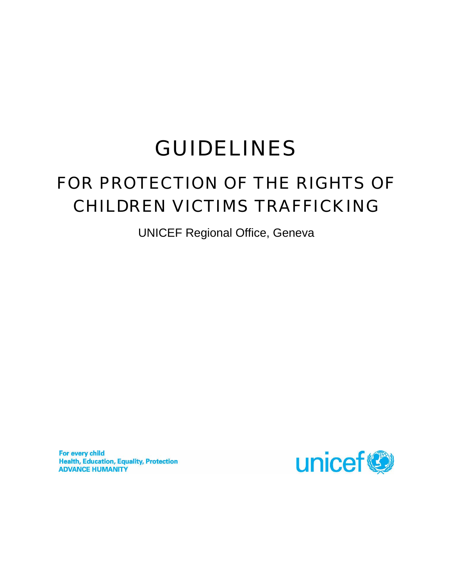# GUIDELINES

# FOR PROTECTION OF THE RIGHTS OF CHILDREN VICTIMS TRAFFICKING

UNICEF Regional Office, Geneva

For every child **Health, Education, Equality, Protection ADVANCE HUMANITY** 

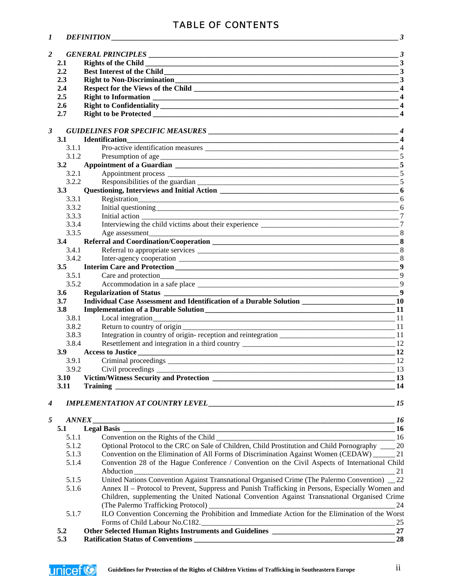# TABLE OF CONTENTS

| $\boldsymbol{l}$     |               | <i><b>DEFINITION</b></i>                                                                                                                                                                                                             | $\mathfrak{z}$          |
|----------------------|---------------|--------------------------------------------------------------------------------------------------------------------------------------------------------------------------------------------------------------------------------------|-------------------------|
| $\overline{2}$       |               |                                                                                                                                                                                                                                      | $\boldsymbol{\beta}$    |
|                      | 2.1           |                                                                                                                                                                                                                                      |                         |
|                      | 2.2           |                                                                                                                                                                                                                                      |                         |
|                      | 2.3           |                                                                                                                                                                                                                                      |                         |
|                      | 2.4           |                                                                                                                                                                                                                                      |                         |
|                      | 2.5           |                                                                                                                                                                                                                                      | $\overline{\mathbf{4}}$ |
|                      | 2.6           |                                                                                                                                                                                                                                      |                         |
|                      | 2.7           |                                                                                                                                                                                                                                      |                         |
|                      |               |                                                                                                                                                                                                                                      |                         |
| $\boldsymbol{\beta}$ |               |                                                                                                                                                                                                                                      |                         |
|                      | 3.1           | <b>Identification</b>                                                                                                                                                                                                                | $\boldsymbol{4}$        |
|                      | 3.1.1         |                                                                                                                                                                                                                                      | $\overline{4}$          |
|                      | 3.1.2         |                                                                                                                                                                                                                                      |                         |
|                      | 3.2           |                                                                                                                                                                                                                                      |                         |
|                      | 3.2.1         |                                                                                                                                                                                                                                      |                         |
|                      | 3.2.2         |                                                                                                                                                                                                                                      |                         |
|                      | 3.3           |                                                                                                                                                                                                                                      |                         |
|                      | 3.3.1         | Registration 6                                                                                                                                                                                                                       |                         |
|                      | 3.3.2         | Initial questioning historical contract of the contract of the contract of the contract of the contract of the contract of the contract of the contract of the contract of the contract of the contract of the contract of the       | 6                       |
|                      | 3.3.3         |                                                                                                                                                                                                                                      | $\tau$                  |
|                      | 3.3.4         |                                                                                                                                                                                                                                      |                         |
|                      | 3.3.5         | $\overline{\text{ }}$ 8<br>Age assessment                                                                                                                                                                                            |                         |
|                      | 3.4           |                                                                                                                                                                                                                                      | 8                       |
|                      | 3.4.1         |                                                                                                                                                                                                                                      |                         |
|                      | 3.4.2         |                                                                                                                                                                                                                                      |                         |
|                      | 3.5           |                                                                                                                                                                                                                                      | $\overline{\mathbf{9}}$ |
|                      | 3.5.1         | Care and protection <b>contract the contract of the contract of the contract of the contract of the contract of the contract of the contract of the contract of the contract of the contract of the contract of the contract of </b> | 9                       |
|                      | 3.5.2         |                                                                                                                                                                                                                                      |                         |
|                      | 3.6           |                                                                                                                                                                                                                                      |                         |
|                      | 3.7           |                                                                                                                                                                                                                                      |                         |
|                      | 3.8           |                                                                                                                                                                                                                                      |                         |
|                      | 3.8.1         | Local integration 2008 and 2008 and 2008 and 2008 and 2008 and 2008 and 2008 and 2008 and 2008 and 2008 and 200                                                                                                                      |                         |
|                      | 3.8.2         | Return to country of origin<br>$\overline{\phantom{a}11}$                                                                                                                                                                            |                         |
|                      | 3.8.3         |                                                                                                                                                                                                                                      |                         |
|                      | 3.8.4         |                                                                                                                                                                                                                                      |                         |
|                      | 3.9<br>3.9.1  | <b>Access to Justice</b>                                                                                                                                                                                                             | 12<br>12                |
|                      |               | Criminal proceedings                                                                                                                                                                                                                 |                         |
|                      | 3.9.2<br>3.10 | Civil proceedings __                                                                                                                                                                                                                 | -13<br>13               |
|                      | 3.11          |                                                                                                                                                                                                                                      | 14                      |
|                      |               |                                                                                                                                                                                                                                      |                         |
| 4                    |               | <b>IMPLEMENTATION AT COUNTRY LEVEL</b>                                                                                                                                                                                               | 15                      |
| 5                    | <b>ANNEX</b>  |                                                                                                                                                                                                                                      | <b>16</b>               |
|                      | 5.1           |                                                                                                                                                                                                                                      | <b>16</b>               |
|                      | 5.1.1         | Convention on the Rights of the Child<br>$\frac{16}{2}$                                                                                                                                                                              |                         |
|                      | 5.1.2         | Optional Protocol to the CRC on Sale of Children, Child Prostitution and Child Pornography _____ 20                                                                                                                                  |                         |
|                      | 5.1.3         | Convention on the Elimination of All Forms of Discrimination Against Women (CEDAW) 21                                                                                                                                                |                         |
|                      | 5.1.4         | Convention 28 of the Hague Conference / Convention on the Civil Aspects of International Child                                                                                                                                       |                         |
|                      |               | Abduction                                                                                                                                                                                                                            | 21                      |
|                      | 5.1.5         | United Nations Convention Against Transnational Organised Crime (The Palermo Convention) 22                                                                                                                                          |                         |
|                      | 5.1.6         | Annex II – Protocol to Prevent, Suppress and Punish Trafficking in Persons, Especially Women and<br>Children, supplementing the United National Convention Against Transnational Organised Crime                                     |                         |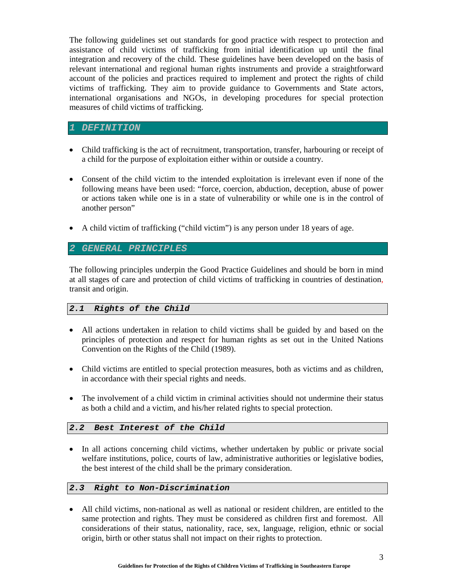The following guidelines set out standards for good practice with respect to protection and assistance of child victims of trafficking from initial identification up until the final integration and recovery of the child. These guidelines have been developed on the basis of relevant international and regional human rights instruments and provide a straightforward account of the policies and practices required to implement and protect the rights of child victims of trafficking. They aim to provide guidance to Governments and State actors, international organisations and NGOs, in developing procedures for special protection measures of child victims of trafficking.

#### *1 DEFINITION*

- Child trafficking is the act of recruitment, transportation, transfer, harbouring or receipt of a child for the purpose of exploitation either within or outside a country.
- Consent of the child victim to the intended exploitation is irrelevant even if none of the following means have been used: "force, coercion, abduction, deception, abuse of power or actions taken while one is in a state of vulnerability or while one is in the control of another person"
- A child victim of trafficking ("child victim") is any person under 18 years of age.

#### *2 GENERAL PRINCIPLES*

The following principles underpin the Good Practice Guidelines and should be born in mind at all stages of care and protection of child victims of trafficking in countries of destination, transit and origin.

# *2.1 Rights of the Child*

- All actions undertaken in relation to child victims shall be guided by and based on the principles of protection and respect for human rights as set out in the United Nations Convention on the Rights of the Child (1989).
- Child victims are entitled to special protection measures, both as victims and as children, in accordance with their special rights and needs.
- The involvement of a child victim in criminal activities should not undermine their status as both a child and a victim, and his/her related rights to special protection.

#### *2.2 Best Interest of the Child*

• In all actions concerning child victims, whether undertaken by public or private social welfare institutions, police, courts of law, administrative authorities or legislative bodies, the best interest of the child shall be the primary consideration.

#### *2.3 Right to Non-Discrimination*

• All child victims, non-national as well as national or resident children, are entitled to the same protection and rights. They must be considered as children first and foremost. All considerations of their status, nationality, race, sex, language, religion, ethnic or social origin, birth or other status shall not impact on their rights to protection.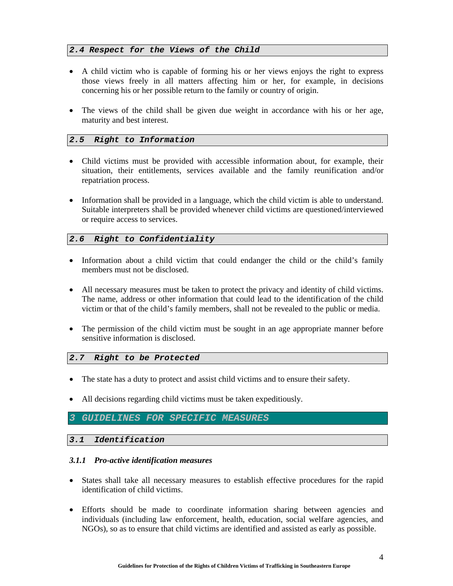#### *2.4 Respect for the Views of the Child*

- A child victim who is capable of forming his or her views enjoys the right to express those views freely in all matters affecting him or her, for example, in decisions concerning his or her possible return to the family or country of origin.
- The views of the child shall be given due weight in accordance with his or her age, maturity and best interest.

#### *2.5 Right to Information*

- Child victims must be provided with accessible information about, for example, their situation, their entitlements, services available and the family reunification and/or repatriation process.
- Information shall be provided in a language, which the child victim is able to understand. Suitable interpreters shall be provided whenever child victims are questioned/interviewed or require access to services.

#### *2.6 Right to Confidentiality*

- Information about a child victim that could endanger the child or the child's family members must not be disclosed.
- All necessary measures must be taken to protect the privacy and identity of child victims. The name, address or other information that could lead to the identification of the child victim or that of the child's family members, shall not be revealed to the public or media.
- The permission of the child victim must be sought in an age appropriate manner before sensitive information is disclosed.

# *2.7 Right to be Protected*

- The state has a duty to protect and assist child victims and to ensure their safety.
- All decisions regarding child victims must be taken expeditiously.

*3 GUIDELINES FOR SPECIFIC MEASURES* 

#### *3.1 Identification*

#### *3.1.1 Pro-active identification measures*

- States shall take all necessary measures to establish effective procedures for the rapid identification of child victims.
- Efforts should be made to coordinate information sharing between agencies and individuals (including law enforcement, health, education, social welfare agencies, and NGOs), so as to ensure that child victims are identified and assisted as early as possible.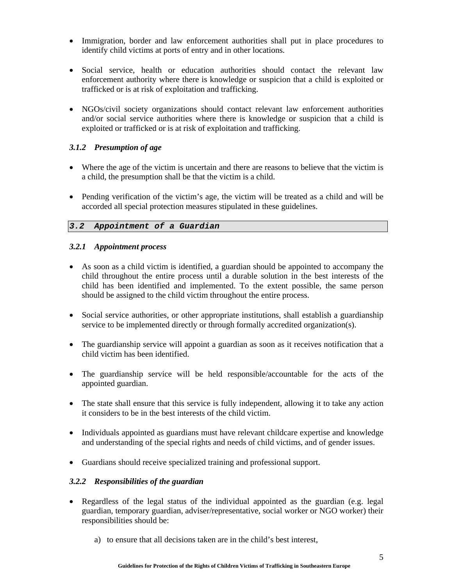- Immigration, border and law enforcement authorities shall put in place procedures to identify child victims at ports of entry and in other locations.
- Social service, health or education authorities should contact the relevant law enforcement authority where there is knowledge or suspicion that a child is exploited or trafficked or is at risk of exploitation and trafficking.
- NGOs/civil society organizations should contact relevant law enforcement authorities and/or social service authorities where there is knowledge or suspicion that a child is exploited or trafficked or is at risk of exploitation and trafficking.

#### *3.1.2 Presumption of age*

- Where the age of the victim is uncertain and there are reasons to believe that the victim is a child, the presumption shall be that the victim is a child.
- Pending verification of the victim's age, the victim will be treated as a child and will be accorded all special protection measures stipulated in these guidelines.

#### *3.2 Appointment of a Guardian*

#### *3.2.1 Appointment process*

- As soon as a child victim is identified, a guardian should be appointed to accompany the child throughout the entire process until a durable solution in the best interests of the child has been identified and implemented. To the extent possible, the same person should be assigned to the child victim throughout the entire process.
- Social service authorities, or other appropriate institutions, shall establish a guardianship service to be implemented directly or through formally accredited organization(s).
- The guardianship service will appoint a guardian as soon as it receives notification that a child victim has been identified.
- The guardianship service will be held responsible/accountable for the acts of the appointed guardian.
- The state shall ensure that this service is fully independent, allowing it to take any action it considers to be in the best interests of the child victim.
- Individuals appointed as guardians must have relevant childcare expertise and knowledge and understanding of the special rights and needs of child victims, and of gender issues.
- Guardians should receive specialized training and professional support.

### *3.2.2 Responsibilities of the guardian*

- Regardless of the legal status of the individual appointed as the guardian (e.g. legal guardian, temporary guardian, adviser/representative, social worker or NGO worker) their responsibilities should be:
	- a) to ensure that all decisions taken are in the child's best interest,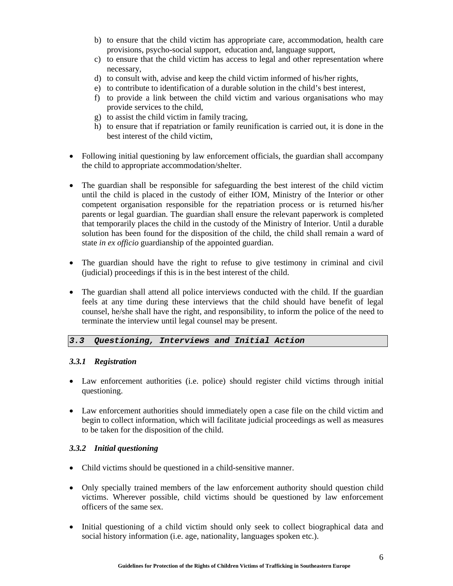- b) to ensure that the child victim has appropriate care, accommodation, health care provisions, psycho-social support, education and, language support,
- c) to ensure that the child victim has access to legal and other representation where necessary,
- d) to consult with, advise and keep the child victim informed of his/her rights,
- e) to contribute to identification of a durable solution in the child's best interest,
- f) to provide a link between the child victim and various organisations who may provide services to the child,
- g) to assist the child victim in family tracing,
- h) to ensure that if repatriation or family reunification is carried out, it is done in the best interest of the child victim,
- Following initial questioning by law enforcement officials, the guardian shall accompany the child to appropriate accommodation/shelter.
- The guardian shall be responsible for safeguarding the best interest of the child victim until the child is placed in the custody of either IOM, Ministry of the Interior or other competent organisation responsible for the repatriation process or is returned his/her parents or legal guardian. The guardian shall ensure the relevant paperwork is completed that temporarily places the child in the custody of the Ministry of Interior. Until a durable solution has been found for the disposition of the child, the child shall remain a ward of state *in ex officio* guardianship of the appointed guardian.
- The guardian should have the right to refuse to give testimony in criminal and civil (judicial) proceedings if this is in the best interest of the child.
- The guardian shall attend all police interviews conducted with the child. If the guardian feels at any time during these interviews that the child should have benefit of legal counsel, he/she shall have the right, and responsibility, to inform the police of the need to terminate the interview until legal counsel may be present.

#### *3.3 Questioning, Interviews and Initial Action*

#### *3.3.1 Registration*

- Law enforcement authorities (i.e. police) should register child victims through initial questioning.
- Law enforcement authorities should immediately open a case file on the child victim and begin to collect information, which will facilitate judicial proceedings as well as measures to be taken for the disposition of the child.

#### *3.3.2 Initial questioning*

- Child victims should be questioned in a child-sensitive manner.
- Only specially trained members of the law enforcement authority should question child victims. Wherever possible, child victims should be questioned by law enforcement officers of the same sex.
- Initial questioning of a child victim should only seek to collect biographical data and social history information (i.e. age, nationality, languages spoken etc.).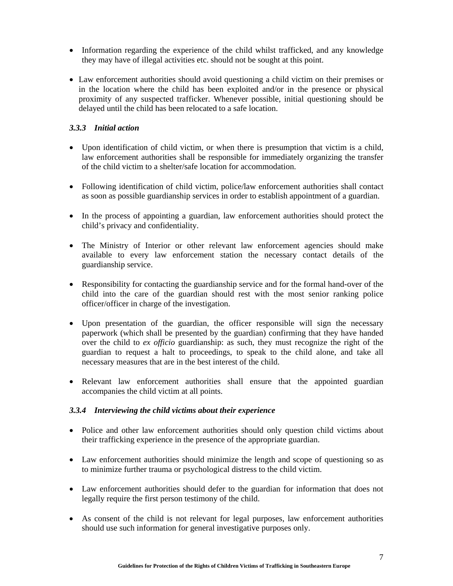- Information regarding the experience of the child whilst trafficked, and any knowledge they may have of illegal activities etc. should not be sought at this point.
- Law enforcement authorities should avoid questioning a child victim on their premises or in the location where the child has been exploited and/or in the presence or physical proximity of any suspected trafficker. Whenever possible, initial questioning should be delayed until the child has been relocated to a safe location.

# *3.3.3 Initial action*

- Upon identification of child victim, or when there is presumption that victim is a child, law enforcement authorities shall be responsible for immediately organizing the transfer of the child victim to a shelter/safe location for accommodation.
- Following identification of child victim, police/law enforcement authorities shall contact as soon as possible guardianship services in order to establish appointment of a guardian.
- In the process of appointing a guardian, law enforcement authorities should protect the child's privacy and confidentiality.
- The Ministry of Interior or other relevant law enforcement agencies should make available to every law enforcement station the necessary contact details of the guardianship service.
- Responsibility for contacting the guardianship service and for the formal hand-over of the child into the care of the guardian should rest with the most senior ranking police officer/officer in charge of the investigation.
- Upon presentation of the guardian, the officer responsible will sign the necessary paperwork (which shall be presented by the guardian) confirming that they have handed over the child to *ex officio* guardianship: as such, they must recognize the right of the guardian to request a halt to proceedings, to speak to the child alone, and take all necessary measures that are in the best interest of the child.
- Relevant law enforcement authorities shall ensure that the appointed guardian accompanies the child victim at all points.

#### *3.3.4 Interviewing the child victims about their experience*

- Police and other law enforcement authorities should only question child victims about their trafficking experience in the presence of the appropriate guardian.
- Law enforcement authorities should minimize the length and scope of questioning so as to minimize further trauma or psychological distress to the child victim.
- Law enforcement authorities should defer to the guardian for information that does not legally require the first person testimony of the child.
- As consent of the child is not relevant for legal purposes, law enforcement authorities should use such information for general investigative purposes only.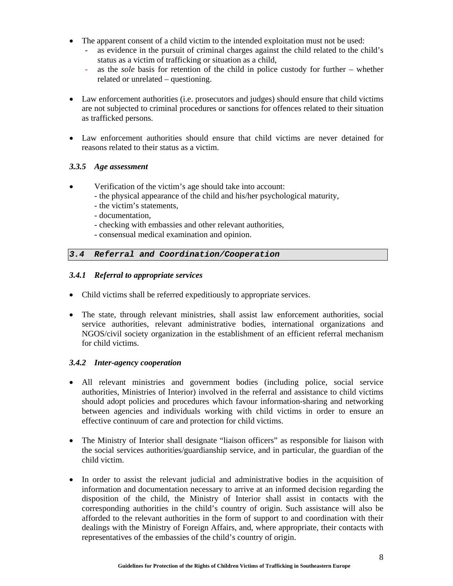- The apparent consent of a child victim to the intended exploitation must not be used:
	- as evidence in the pursuit of criminal charges against the child related to the child's status as a victim of trafficking or situation as a child,
	- as the *sole* basis for retention of the child in police custody for further whether related or unrelated – questioning.
- Law enforcement authorities (i.e. prosecutors and judges) should ensure that child victims are not subjected to criminal procedures or sanctions for offences related to their situation as trafficked persons.
- Law enforcement authorities should ensure that child victims are never detained for reasons related to their status as a victim.

#### *3.3.5 Age assessment*

- Verification of the victim's age should take into account:
	- the physical appearance of the child and his/her psychological maturity,
	- the victim's statements,
	- documentation,
	- checking with embassies and other relevant authorities,
	- consensual medical examination and opinion.

# *3.4 Referral and Coordination/Cooperation*

#### *3.4.1 Referral to appropriate services*

- Child victims shall be referred expeditiously to appropriate services.
- The state, through relevant ministries, shall assist law enforcement authorities, social service authorities, relevant administrative bodies, international organizations and NGOS/civil society organization in the establishment of an efficient referral mechanism for child victims.

#### *3.4.2 Inter-agency cooperation*

- All relevant ministries and government bodies (including police, social service authorities, Ministries of Interior) involved in the referral and assistance to child victims should adopt policies and procedures which favour information-sharing and networking between agencies and individuals working with child victims in order to ensure an effective continuum of care and protection for child victims.
- The Ministry of Interior shall designate "liaison officers" as responsible for liaison with the social services authorities/guardianship service, and in particular, the guardian of the child victim.
- In order to assist the relevant judicial and administrative bodies in the acquisition of information and documentation necessary to arrive at an informed decision regarding the disposition of the child, the Ministry of Interior shall assist in contacts with the corresponding authorities in the child's country of origin. Such assistance will also be afforded to the relevant authorities in the form of support to and coordination with their dealings with the Ministry of Foreign Affairs, and, where appropriate, their contacts with representatives of the embassies of the child's country of origin.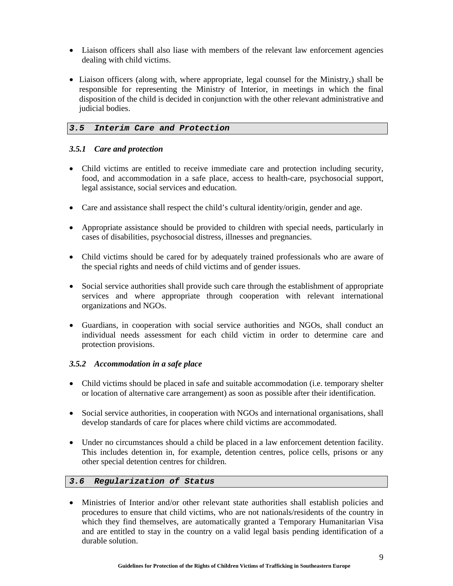- Liaison officers shall also liase with members of the relevant law enforcement agencies dealing with child victims.
- Liaison officers (along with, where appropriate, legal counsel for the Ministry,) shall be responsible for representing the Ministry of Interior, in meetings in which the final disposition of the child is decided in conjunction with the other relevant administrative and judicial bodies.

#### *3.5 Interim Care and Protection*

#### *3.5.1 Care and protection*

- Child victims are entitled to receive immediate care and protection including security, food, and accommodation in a safe place, access to health-care, psychosocial support, legal assistance, social services and education.
- Care and assistance shall respect the child's cultural identity/origin, gender and age.
- Appropriate assistance should be provided to children with special needs, particularly in cases of disabilities, psychosocial distress, illnesses and pregnancies.
- Child victims should be cared for by adequately trained professionals who are aware of the special rights and needs of child victims and of gender issues.
- Social service authorities shall provide such care through the establishment of appropriate services and where appropriate through cooperation with relevant international organizations and NGOs.
- Guardians, in cooperation with social service authorities and NGOs, shall conduct an individual needs assessment for each child victim in order to determine care and protection provisions.

# *3.5.2 Accommodation in a safe place*

- Child victims should be placed in safe and suitable accommodation (i.e. temporary shelter or location of alternative care arrangement) as soon as possible after their identification.
- Social service authorities, in cooperation with NGOs and international organisations, shall develop standards of care for places where child victims are accommodated.
- Under no circumstances should a child be placed in a law enforcement detention facility. This includes detention in, for example, detention centres, police cells, prisons or any other special detention centres for children.

#### *3.6 Regularization of Status*

• Ministries of Interior and/or other relevant state authorities shall establish policies and procedures to ensure that child victims, who are not nationals/residents of the country in which they find themselves, are automatically granted a Temporary Humanitarian Visa and are entitled to stay in the country on a valid legal basis pending identification of a durable solution.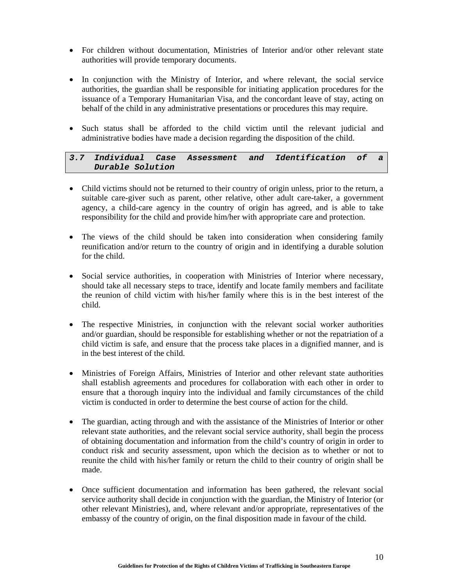- For children without documentation, Ministries of Interior and/or other relevant state authorities will provide temporary documents.
- In conjunction with the Ministry of Interior, and where relevant, the social service authorities, the guardian shall be responsible for initiating application procedures for the issuance of a Temporary Humanitarian Visa, and the concordant leave of stay, acting on behalf of the child in any administrative presentations or procedures this may require.
- Such status shall be afforded to the child victim until the relevant judicial and administrative bodies have made a decision regarding the disposition of the child.

#### *3.7 Individual Case Assessment and Identification of a Durable Solution*

- Child victims should not be returned to their country of origin unless, prior to the return, a suitable care-giver such as parent, other relative, other adult care-taker, a government agency, a child-care agency in the country of origin has agreed, and is able to take responsibility for the child and provide him/her with appropriate care and protection.
- The views of the child should be taken into consideration when considering family reunification and/or return to the country of origin and in identifying a durable solution for the child.
- Social service authorities, in cooperation with Ministries of Interior where necessary, should take all necessary steps to trace, identify and locate family members and facilitate the reunion of child victim with his/her family where this is in the best interest of the child.
- The respective Ministries, in conjunction with the relevant social worker authorities and/or guardian, should be responsible for establishing whether or not the repatriation of a child victim is safe, and ensure that the process take places in a dignified manner, and is in the best interest of the child.
- Ministries of Foreign Affairs, Ministries of Interior and other relevant state authorities shall establish agreements and procedures for collaboration with each other in order to ensure that a thorough inquiry into the individual and family circumstances of the child victim is conducted in order to determine the best course of action for the child.
- The guardian, acting through and with the assistance of the Ministries of Interior or other relevant state authorities, and the relevant social service authority, shall begin the process of obtaining documentation and information from the child's country of origin in order to conduct risk and security assessment, upon which the decision as to whether or not to reunite the child with his/her family or return the child to their country of origin shall be made.
- Once sufficient documentation and information has been gathered, the relevant social service authority shall decide in conjunction with the guardian, the Ministry of Interior (or other relevant Ministries), and, where relevant and/or appropriate, representatives of the embassy of the country of origin, on the final disposition made in favour of the child.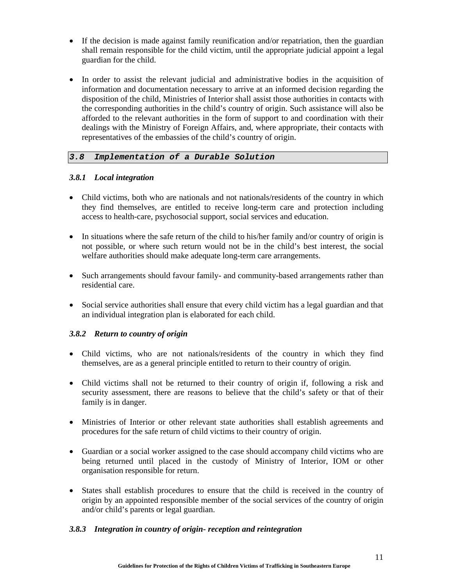- If the decision is made against family reunification and/or repatriation, then the guardian shall remain responsible for the child victim, until the appropriate judicial appoint a legal guardian for the child.
- In order to assist the relevant judicial and administrative bodies in the acquisition of information and documentation necessary to arrive at an informed decision regarding the disposition of the child, Ministries of Interior shall assist those authorities in contacts with the corresponding authorities in the child's country of origin. Such assistance will also be afforded to the relevant authorities in the form of support to and coordination with their dealings with the Ministry of Foreign Affairs, and, where appropriate, their contacts with representatives of the embassies of the child's country of origin.

#### *3.8 Implementation of a Durable Solution*

#### *3.8.1 Local integration*

- Child victims, both who are nationals and not nationals/residents of the country in which they find themselves, are entitled to receive long-term care and protection including access to health-care, psychosocial support, social services and education.
- In situations where the safe return of the child to his/her family and/or country of origin is not possible, or where such return would not be in the child's best interest, the social welfare authorities should make adequate long-term care arrangements.
- Such arrangements should favour family- and community-based arrangements rather than residential care.
- Social service authorities shall ensure that every child victim has a legal guardian and that an individual integration plan is elaborated for each child.

# *3.8.2 Return to country of origin*

- Child victims, who are not nationals/residents of the country in which they find themselves, are as a general principle entitled to return to their country of origin.
- Child victims shall not be returned to their country of origin if, following a risk and security assessment, there are reasons to believe that the child's safety or that of their family is in danger.
- Ministries of Interior or other relevant state authorities shall establish agreements and procedures for the safe return of child victims to their country of origin.
- Guardian or a social worker assigned to the case should accompany child victims who are being returned until placed in the custody of Ministry of Interior, IOM or other organisation responsible for return.
- States shall establish procedures to ensure that the child is received in the country of origin by an appointed responsible member of the social services of the country of origin and/or child's parents or legal guardian.

# *3.8.3 Integration in country of origin- reception and reintegration*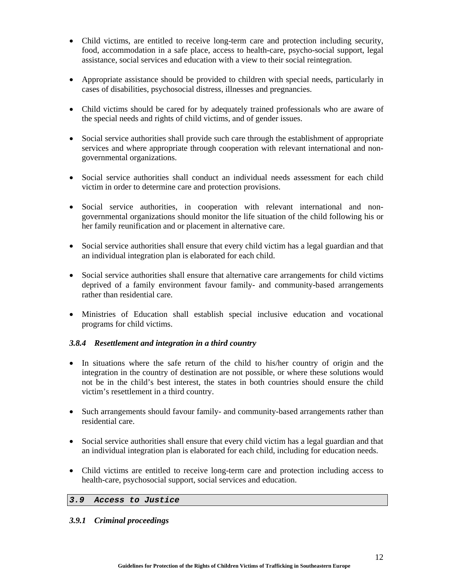- Child victims, are entitled to receive long-term care and protection including security, food, accommodation in a safe place, access to health-care, psycho-social support, legal assistance, social services and education with a view to their social reintegration.
- Appropriate assistance should be provided to children with special needs, particularly in cases of disabilities, psychosocial distress, illnesses and pregnancies.
- Child victims should be cared for by adequately trained professionals who are aware of the special needs and rights of child victims, and of gender issues.
- Social service authorities shall provide such care through the establishment of appropriate services and where appropriate through cooperation with relevant international and nongovernmental organizations.
- Social service authorities shall conduct an individual needs assessment for each child victim in order to determine care and protection provisions.
- Social service authorities, in cooperation with relevant international and nongovernmental organizations should monitor the life situation of the child following his or her family reunification and or placement in alternative care.
- Social service authorities shall ensure that every child victim has a legal guardian and that an individual integration plan is elaborated for each child.
- Social service authorities shall ensure that alternative care arrangements for child victims deprived of a family environment favour family- and community-based arrangements rather than residential care.
- Ministries of Education shall establish special inclusive education and vocational programs for child victims.

# *3.8.4 Resettlement and integration in a third country*

- In situations where the safe return of the child to his/her country of origin and the integration in the country of destination are not possible, or where these solutions would not be in the child's best interest, the states in both countries should ensure the child victim's resettlement in a third country.
- Such arrangements should favour family- and community-based arrangements rather than residential care.
- Social service authorities shall ensure that every child victim has a legal guardian and that an individual integration plan is elaborated for each child, including for education needs.
- Child victims are entitled to receive long-term care and protection including access to health-care, psychosocial support, social services and education.

#### *3.9 Access to Justice*

#### *3.9.1 Criminal proceedings*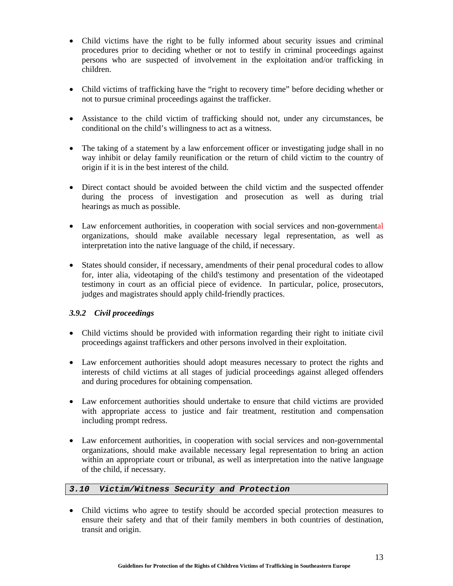- Child victims have the right to be fully informed about security issues and criminal procedures prior to deciding whether or not to testify in criminal proceedings against persons who are suspected of involvement in the exploitation and/or trafficking in children.
- Child victims of trafficking have the "right to recovery time" before deciding whether or not to pursue criminal proceedings against the trafficker.
- Assistance to the child victim of trafficking should not, under any circumstances, be conditional on the child's willingness to act as a witness.
- The taking of a statement by a law enforcement officer or investigating judge shall in no way inhibit or delay family reunification or the return of child victim to the country of origin if it is in the best interest of the child.
- Direct contact should be avoided between the child victim and the suspected offender during the process of investigation and prosecution as well as during trial hearings as much as possible.
- Law enforcement authorities, in cooperation with social services and non-governmental organizations, should make available necessary legal representation, as well as interpretation into the native language of the child, if necessary.
- States should consider, if necessary, amendments of their penal procedural codes to allow for, inter alia, videotaping of the child's testimony and presentation of the videotaped testimony in court as an official piece of evidence. In particular, police, prosecutors, judges and magistrates should apply child-friendly practices.

# *3.9.2 Civil proceedings*

- Child victims should be provided with information regarding their right to initiate civil proceedings against traffickers and other persons involved in their exploitation.
- Law enforcement authorities should adopt measures necessary to protect the rights and interests of child victims at all stages of judicial proceedings against alleged offenders and during procedures for obtaining compensation.
- Law enforcement authorities should undertake to ensure that child victims are provided with appropriate access to justice and fair treatment, restitution and compensation including prompt redress.
- Law enforcement authorities, in cooperation with social services and non-governmental organizations, should make available necessary legal representation to bring an action within an appropriate court or tribunal, as well as interpretation into the native language of the child, if necessary.

# *3.10 Victim/Witness Security and Protection*

• Child victims who agree to testify should be accorded special protection measures to ensure their safety and that of their family members in both countries of destination, transit and origin.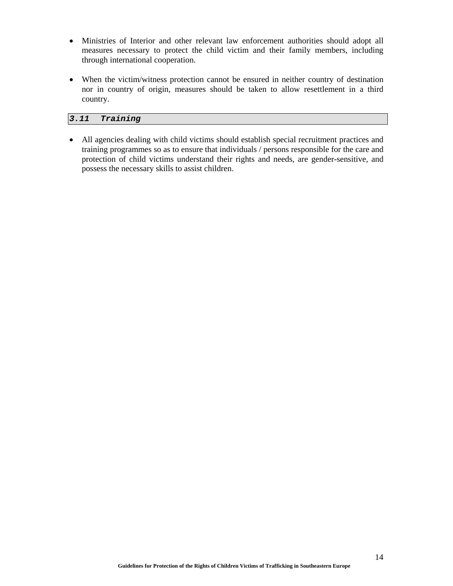- Ministries of Interior and other relevant law enforcement authorities should adopt all measures necessary to protect the child victim and their family members, including through international cooperation.
- When the victim/witness protection cannot be ensured in neither country of destination nor in country of origin, measures should be taken to allow resettlement in a third country.

# *3.11 Training*

• All agencies dealing with child victims should establish special recruitment practices and training programmes so as to ensure that individuals / persons responsible for the care and protection of child victims understand their rights and needs, are gender-sensitive, and possess the necessary skills to assist children.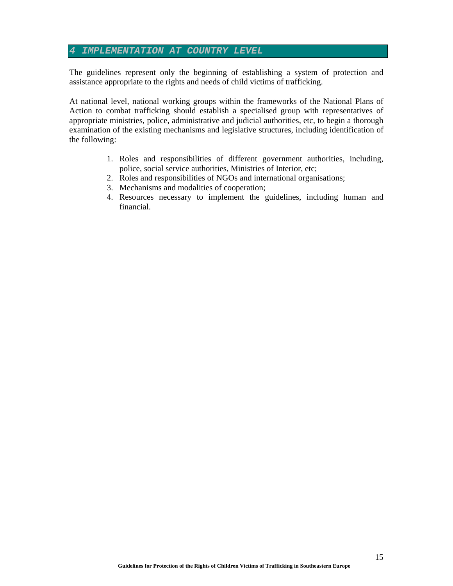#### *4 IMPLEMENTATION AT COUNTRY LEVEL*

The guidelines represent only the beginning of establishing a system of protection and assistance appropriate to the rights and needs of child victims of trafficking.

At national level, national working groups within the frameworks of the National Plans of Action to combat trafficking should establish a specialised group with representatives of appropriate ministries, police, administrative and judicial authorities, etc, to begin a thorough examination of the existing mechanisms and legislative structures, including identification of the following:

- 1. Roles and responsibilities of different government authorities, including, police, social service authorities, Ministries of Interior, etc;
- 2. Roles and responsibilities of NGOs and international organisations;
- 3. Mechanisms and modalities of cooperation;
- 4. Resources necessary to implement the guidelines, including human and financial.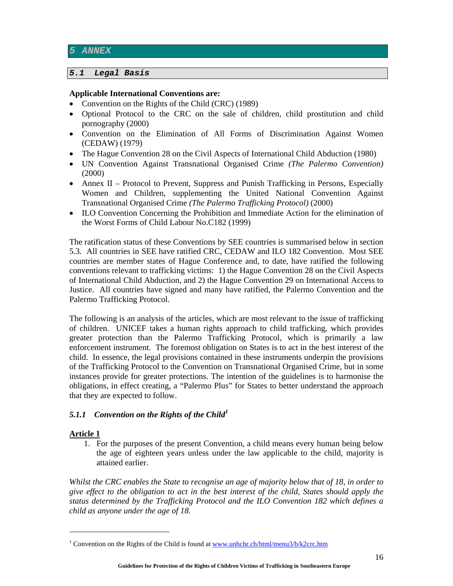# *5.1 Legal Basis*

#### **Applicable International Conventions are:**

- Convention on the Rights of the Child (CRC) (1989)
- Optional Protocol to the CRC on the sale of children, child prostitution and child pornography (2000)
- Convention on the Elimination of All Forms of Discrimination Against Women (CEDAW) (1979)
- The Hague Convention 28 on the Civil Aspects of International Child Abduction (1980)
- UN Convention Against Transnational Organised Crime *(The Palermo Convention)* (2000)
- Annex II Protocol to Prevent, Suppress and Punish Trafficking in Persons, Especially Women and Children, supplementing the United National Convention Against Transnational Organised Crime *(The Palermo Trafficking Protocol)* (2000)
- ILO Convention Concerning the Prohibition and Immediate Action for the elimination of the Worst Forms of Child Labour No.C182 (1999)

The ratification status of these Conventions by SEE countries is summarised below in section 5.3. All countries in SEE have ratified CRC, CEDAW and ILO 182 Convention. Most SEE countries are member states of Hague Conference and, to date, have ratified the following conventions relevant to trafficking victims: 1) the Hague Convention 28 on the Civil Aspects of International Child Abduction, and 2) the Hague Convention 29 on International Access to Justice. All countries have signed and many have ratified, the Palermo Convention and the Palermo Trafficking Protocol.

The following is an analysis of the articles, which are most relevant to the issue of trafficking of children. UNICEF takes a human rights approach to child trafficking, which provides greater protection than the Palermo Trafficking Protocol, which is primarily a law enforcement instrument. The foremost obligation on States is to act in the best interest of the child. In essence, the legal provisions contained in these instruments underpin the provisions of the Trafficking Protocol to the Convention on Transnational Organised Crime, but in some instances provide for greater protections. The intention of the guidelines is to harmonise the obligations, in effect creating, a "Palermo Plus" for States to better understand the approach that they are expected to follow.

# *5.1.1 Convention on the Rights of the Child<sup>1</sup>*

#### **Article 1**

-

1. For the purposes of the present Convention, a child means every human being below the age of eighteen years unless under the law applicable to the child, majority is attained earlier.

*Whilst the CRC enables the State to recognise an age of majority below that of 18, in order to give effect to the obligation to act in the best interest of the child, States should apply the status determined by the Trafficking Protocol and the ILO Convention 182 which defines a child as anyone under the age of 18.* 

<sup>&</sup>lt;sup>1</sup> Convention on the Rights of the Child is found at www.unhchr.ch/html/menu3/b/k2crc.htm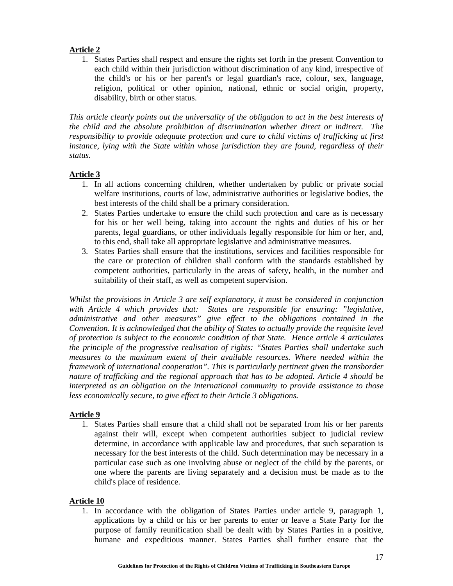# **Article 2**

1. States Parties shall respect and ensure the rights set forth in the present Convention to each child within their jurisdiction without discrimination of any kind, irrespective of the child's or his or her parent's or legal guardian's race, colour, sex, language, religion, political or other opinion, national, ethnic or social origin, property, disability, birth or other status.

*This article clearly points out the universality of the obligation to act in the best interests of the child and the absolute prohibition of discrimination whether direct or indirect. The responsibility to provide adequate protection and care to child victims of trafficking at first instance, lying with the State within whose jurisdiction they are found, regardless of their status.* 

#### **Article 3**

- 1. In all actions concerning children, whether undertaken by public or private social welfare institutions, courts of law, administrative authorities or legislative bodies, the best interests of the child shall be a primary consideration.
- 2. States Parties undertake to ensure the child such protection and care as is necessary for his or her well being, taking into account the rights and duties of his or her parents, legal guardians, or other individuals legally responsible for him or her, and, to this end, shall take all appropriate legislative and administrative measures.
- 3. States Parties shall ensure that the institutions, services and facilities responsible for the care or protection of children shall conform with the standards established by competent authorities, particularly in the areas of safety, health, in the number and suitability of their staff, as well as competent supervision.

*Whilst the provisions in Article 3 are self explanatory, it must be considered in conjunction with Article 4 which provides that: States are responsible for ensuring: "legislative, administrative and other measures" give effect to the obligations contained in the Convention. It is acknowledged that the ability of States to actually provide the requisite level of protection is subject to the economic condition of that State. Hence article 4 articulates the principle of the progressive realisation of rights: "States Parties shall undertake such measures to the maximum extent of their available resources. Where needed within the framework of international cooperation". This is particularly pertinent given the transborder nature of trafficking and the regional approach that has to be adopted. Article 4 should be interpreted as an obligation on the international community to provide assistance to those less economically secure, to give effect to their Article 3 obligations.* 

#### **Article 9**

1. States Parties shall ensure that a child shall not be separated from his or her parents against their will, except when competent authorities subject to judicial review determine, in accordance with applicable law and procedures, that such separation is necessary for the best interests of the child. Such determination may be necessary in a particular case such as one involving abuse or neglect of the child by the parents, or one where the parents are living separately and a decision must be made as to the child's place of residence.

#### **Article 10**

1. In accordance with the obligation of States Parties under article 9, paragraph 1, applications by a child or his or her parents to enter or leave a State Party for the purpose of family reunification shall be dealt with by States Parties in a positive, humane and expeditious manner. States Parties shall further ensure that the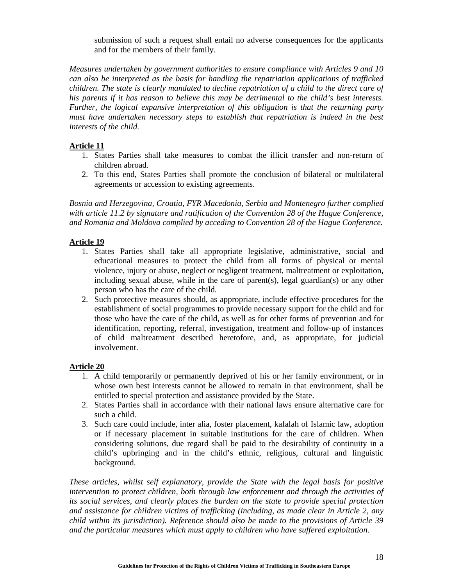submission of such a request shall entail no adverse consequences for the applicants and for the members of their family.

*Measures undertaken by government authorities to ensure compliance with Articles 9 and 10 can also be interpreted as the basis for handling the repatriation applications of trafficked children. The state is clearly mandated to decline repatriation of a child to the direct care of his parents if it has reason to believe this may be detrimental to the child's best interests. Further, the logical expansive interpretation of this obligation is that the returning party must have undertaken necessary steps to establish that repatriation is indeed in the best interests of the child.* 

#### **Article 11**

- 1. States Parties shall take measures to combat the illicit transfer and non-return of children abroad.
- 2. To this end, States Parties shall promote the conclusion of bilateral or multilateral agreements or accession to existing agreements.

*Bosnia and Herzegovina, Croatia, FYR Macedonia, Serbia and Montenegro further complied with article 11.2 by signature and ratification of the Convention 28 of the Hague Conference, and Romania and Moldova complied by acceding to Convention 28 of the Hague Conference.* 

#### **Article 19**

- 1. States Parties shall take all appropriate legislative, administrative, social and educational measures to protect the child from all forms of physical or mental violence, injury or abuse, neglect or negligent treatment, maltreatment or exploitation, including sexual abuse, while in the care of parent(s), legal guardian(s) or any other person who has the care of the child.
- 2. Such protective measures should, as appropriate, include effective procedures for the establishment of social programmes to provide necessary support for the child and for those who have the care of the child, as well as for other forms of prevention and for identification, reporting, referral, investigation, treatment and follow-up of instances of child maltreatment described heretofore, and, as appropriate, for judicial involvement.

#### **Article 20**

- 1. A child temporarily or permanently deprived of his or her family environment, or in whose own best interests cannot be allowed to remain in that environment, shall be entitled to special protection and assistance provided by the State.
- 2. States Parties shall in accordance with their national laws ensure alternative care for such a child.
- 3. Such care could include, inter alia, foster placement, kafalah of Islamic law, adoption or if necessary placement in suitable institutions for the care of children. When considering solutions, due regard shall be paid to the desirability of continuity in a child's upbringing and in the child's ethnic, religious, cultural and linguistic background.

*These articles, whilst self explanatory, provide the State with the legal basis for positive intervention to protect children, both through law enforcement and through the activities of its social services, and clearly places the burden on the state to provide special protection and assistance for children victims of trafficking (including, as made clear in Article 2, any child within its jurisdiction). Reference should also be made to the provisions of Article 39 and the particular measures which must apply to children who have suffered exploitation.*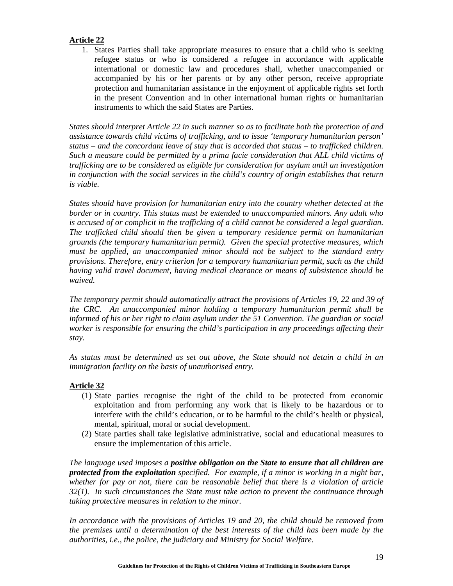# **Article 22**

1. States Parties shall take appropriate measures to ensure that a child who is seeking refugee status or who is considered a refugee in accordance with applicable international or domestic law and procedures shall, whether unaccompanied or accompanied by his or her parents or by any other person, receive appropriate protection and humanitarian assistance in the enjoyment of applicable rights set forth in the present Convention and in other international human rights or humanitarian instruments to which the said States are Parties.

*States should interpret Article 22 in such manner so as to facilitate both the protection of and assistance towards child victims of trafficking, and to issue 'temporary humanitarian person' status – and the concordant leave of stay that is accorded that status – to trafficked children. Such a measure could be permitted by a prima facie consideration that ALL child victims of trafficking are to be considered as eligible for consideration for asylum until an investigation in conjunction with the social services in the child's country of origin establishes that return is viable.* 

*States should have provision for humanitarian entry into the country whether detected at the border or in country. This status must be extended to unaccompanied minors. Any adult who is accused of or complicit in the trafficking of a child cannot be considered a legal guardian. The trafficked child should then be given a temporary residence permit on humanitarian grounds (the temporary humanitarian permit). Given the special protective measures, which must be applied, an unaccompanied minor should not be subject to the standard entry provisions. Therefore, entry criterion for a temporary humanitarian permit, such as the child having valid travel document, having medical clearance or means of subsistence should be waived.* 

*The temporary permit should automatically attract the provisions of Articles 19, 22 and 39 of the CRC. An unaccompanied minor holding a temporary humanitarian permit shall be informed of his or her right to claim asylum under the 51 Convention. The guardian or social worker is responsible for ensuring the child's participation in any proceedings affecting their stay.* 

*As status must be determined as set out above, the State should not detain a child in an immigration facility on the basis of unauthorised entry.* 

# **Article 32**

- (1) State parties recognise the right of the child to be protected from economic exploitation and from performing any work that is likely to be hazardous or to interfere with the child's education, or to be harmful to the child's health or physical, mental, spiritual, moral or social development.
- (2) State parties shall take legislative administrative, social and educational measures to ensure the implementation of this article.

*The language used imposes a positive obligation on the State to ensure that all children are protected from the exploitation specified. For example, if a minor is working in a night bar, whether for pay or not, there can be reasonable belief that there is a violation of article 32(1). In such circumstances the State must take action to prevent the continuance through taking protective measures in relation to the minor.* 

*In accordance with the provisions of Articles 19 and 20, the child should be removed from the premises until a determination of the best interests of the child has been made by the authorities, i.e., the police, the judiciary and Ministry for Social Welfare.*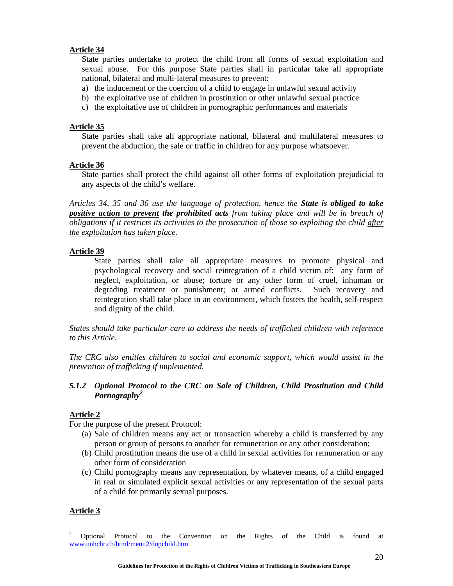#### **Article 34**

State parties undertake to protect the child from all forms of sexual exploitation and sexual abuse. For this purpose State parties shall in particular take all appropriate national, bilateral and multi-lateral measures to prevent:

- a) the inducement or the coercion of a child to engage in unlawful sexual activity
- b) the exploitative use of children in prostitution or other unlawful sexual practice
- c) the exploitative use of children in pornographic performances and materials

#### **Article 35**

State parties shall take all appropriate national, bilateral and multilateral measures to prevent the abduction, the sale or traffic in children for any purpose whatsoever.

#### **Article 36**

State parties shall protect the child against all other forms of exploitation prejudicial to any aspects of the child's welfare.

*Articles 34, 35 and 36 use the language of protection, hence the State is obliged to take positive action to prevent the prohibited acts from taking place and will be in breach of obligations if it restricts its activities to the prosecution of those so exploiting the child after the exploitation has taken place.*

#### **Article 39**

State parties shall take all appropriate measures to promote physical and psychological recovery and social reintegration of a child victim of: any form of neglect, exploitation, or abuse; torture or any other form of cruel, inhuman or degrading treatment or punishment; or armed conflicts. Such recovery and reintegration shall take place in an environment, which fosters the health, self-respect and dignity of the child.

*States should take particular care to address the needs of trafficked children with reference to this Article.* 

*The CRC also entitles children to social and economic support, which would assist in the prevention of trafficking if implemented.* 

#### *5.1.2 Optional Protocol to the CRC on Sale of Children, Child Prostitution and Child Pornography<sup>2</sup>*

#### **Article 2**

For the purpose of the present Protocol:

- (a) Sale of children means any act or transaction whereby a child is transferred by any person or group of persons to another for remuneration or any other consideration;
- (b) Child prostitution means the use of a child in sexual activities for remuneration or any other form of consideration
- (c) Child pornography means any representation, by whatever means, of a child engaged in real or simulated explicit sexual activities or any representation of the sexual parts of a child for primarily sexual purposes.

#### **Article 3**

-

<sup>2</sup> Optional Protocol to the Convention on the Rights of the Child is found at www.unhchr.ch/html/menu2/dopchild.htm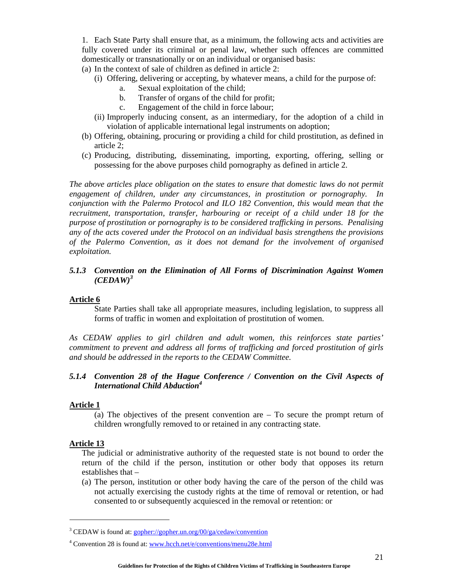1. Each State Party shall ensure that, as a minimum, the following acts and activities are fully covered under its criminal or penal law, whether such offences are committed domestically or transnationally or on an individual or organised basis:

(a) In the context of sale of children as defined in article 2:

- (i) Offering, delivering or accepting, by whatever means, a child for the purpose of:
	- a. Sexual exploitation of the child;
	- b. Transfer of organs of the child for profit;
	- c. Engagement of the child in force labour;
- (ii) Improperly inducing consent, as an intermediary, for the adoption of a child in violation of applicable international legal instruments on adoption;
- (b) Offering, obtaining, procuring or providing a child for child prostitution, as defined in article 2;
- (c) Producing, distributing, disseminating, importing, exporting, offering, selling or possessing for the above purposes child pornography as defined in article 2.

*The above articles place obligation on the states to ensure that domestic laws do not permit engagement of children, under any circumstances, in prostitution or pornography. In conjunction with the Palermo Protocol and ILO 182 Convention, this would mean that the recruitment, transportation, transfer, harbouring or receipt of a child under 18 for the purpose of prostitution or pornography is to be considered trafficking in persons. Penalising any of the acts covered under the Protocol on an individual basis strengthens the provisions of the Palermo Convention, as it does not demand for the involvement of organised exploitation.* 

#### *5.1.3 Convention on the Elimination of All Forms of Discrimination Against Women (CEDAW)<sup>3</sup>*

# **Article 6**

 State Parties shall take all appropriate measures, including legislation, to suppress all forms of traffic in women and exploitation of prostitution of women.

*As CEDAW applies to girl children and adult women, this reinforces state parties' commitment to prevent and address all forms of trafficking and forced prostitution of girls and should be addressed in the reports to the CEDAW Committee.*

#### *5.1.4 Convention 28 of the Hague Conference / Convention on the Civil Aspects of International Child Abduction<sup>4</sup>*

#### **Article 1**

(a) The objectives of the present convention are – To secure the prompt return of children wrongfully removed to or retained in any contracting state.

# **Article 13**

-

The judicial or administrative authority of the requested state is not bound to order the return of the child if the person, institution or other body that opposes its return establishes that –

(a) The person, institution or other body having the care of the person of the child was not actually exercising the custody rights at the time of removal or retention, or had consented to or subsequently acquiesced in the removal or retention: or

<sup>&</sup>lt;sup>3</sup> CEDAW is found at: gopher://gopher.un.org/00/ga/cedaw/convention

<sup>&</sup>lt;sup>4</sup> Convention 28 is found at: www.hcch.net/e/conventions/menu28e.html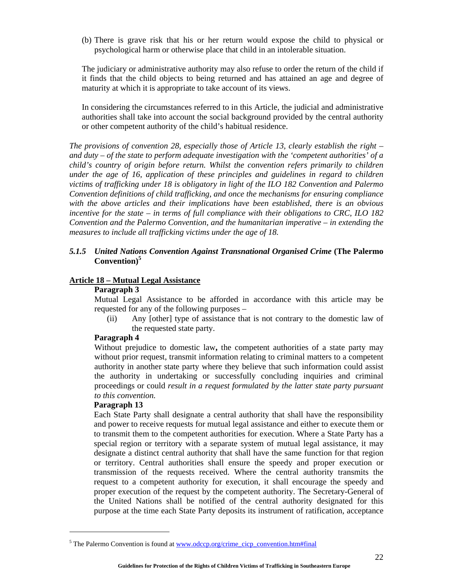(b) There is grave risk that his or her return would expose the child to physical or psychological harm or otherwise place that child in an intolerable situation.

The judiciary or administrative authority may also refuse to order the return of the child if it finds that the child objects to being returned and has attained an age and degree of maturity at which it is appropriate to take account of its views.

In considering the circumstances referred to in this Article, the judicial and administrative authorities shall take into account the social background provided by the central authority or other competent authority of the child's habitual residence.

*The provisions of convention 28, especially those of Article 13, clearly establish the right – and duty – of the state to perform adequate investigation with the 'competent authorities' of a child's country of origin before return. Whilst the convention refers primarily to children under the age of 16, application of these principles and guidelines in regard to children victims of trafficking under 18 is obligatory in light of the ILO 182 Convention and Palermo Convention definitions of child trafficking, and once the mechanisms for ensuring compliance with the above articles and their implications have been established, there is an obvious incentive for the state – in terms of full compliance with their obligations to CRC, ILO 182 Convention and the Palermo Convention, and the humanitarian imperative – in extending the measures to include all trafficking victims under the age of 18.* 

#### *5.1.5 United Nations Convention Against Transnational Organised Crime* **(The Palermo Convention)<sup>5</sup>**

#### **Article 18 – Mutual Legal Assistance**

#### **Paragraph 3**

Mutual Legal Assistance to be afforded in accordance with this article may be requested for any of the following purposes –

(ii) Any [other] type of assistance that is not contrary to the domestic law of the requested state party.

#### **Paragraph 4**

Without prejudice to domestic law**,** the competent authorities of a state party may without prior request, transmit information relating to criminal matters to a competent authority in another state party where they believe that such information could assist the authority in undertaking or successfully concluding inquiries and criminal proceedings or could *result in a request formulated by the latter state party pursuant to this convention.*

#### **Paragraph 13**

-

Each State Party shall designate a central authority that shall have the responsibility and power to receive requests for mutual legal assistance and either to execute them or to transmit them to the competent authorities for execution. Where a State Party has a special region or territory with a separate system of mutual legal assistance, it may designate a distinct central authority that shall have the same function for that region or territory. Central authorities shall ensure the speedy and proper execution or transmission of the requests received. Where the central authority transmits the request to a competent authority for execution, it shall encourage the speedy and proper execution of the request by the competent authority. The Secretary-General of the United Nations shall be notified of the central authority designated for this purpose at the time each State Party deposits its instrument of ratification, acceptance

<sup>&</sup>lt;sup>5</sup> The Palermo Convention is found at  $\underline{www.odecp.org/crime\_cicp\_convention.html#final}$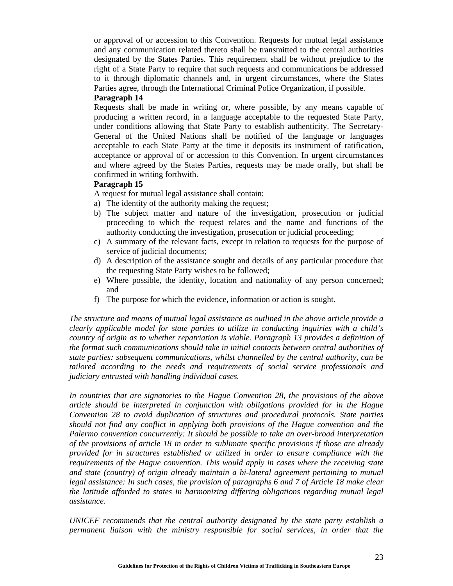or approval of or accession to this Convention. Requests for mutual legal assistance and any communication related thereto shall be transmitted to the central authorities designated by the States Parties. This requirement shall be without prejudice to the right of a State Party to require that such requests and communications be addressed to it through diplomatic channels and, in urgent circumstances, where the States Parties agree, through the International Criminal Police Organization, if possible.

#### **Paragraph 14**

Requests shall be made in writing or, where possible, by any means capable of producing a written record, in a language acceptable to the requested State Party, under conditions allowing that State Party to establish authenticity. The Secretary-General of the United Nations shall be notified of the language or languages acceptable to each State Party at the time it deposits its instrument of ratification, acceptance or approval of or accession to this Convention. In urgent circumstances and where agreed by the States Parties, requests may be made orally, but shall be confirmed in writing forthwith.

#### **Paragraph 15**

A request for mutual legal assistance shall contain:

- a) The identity of the authority making the request;
- b) The subject matter and nature of the investigation, prosecution or judicial proceeding to which the request relates and the name and functions of the authority conducting the investigation, prosecution or judicial proceeding;
- c) A summary of the relevant facts, except in relation to requests for the purpose of service of judicial documents;
- d) A description of the assistance sought and details of any particular procedure that the requesting State Party wishes to be followed;
- e) Where possible, the identity, location and nationality of any person concerned; and
- f) The purpose for which the evidence, information or action is sought.

*The structure and means of mutual legal assistance as outlined in the above article provide a clearly applicable model for state parties to utilize in conducting inquiries with a child's country of origin as to whether repatriation is viable. Paragraph 13 provides a definition of the format such communications should take in initial contacts between central authorities of state parties: subsequent communications, whilst channelled by the central authority, can be tailored according to the needs and requirements of social service professionals and judiciary entrusted with handling individual cases.* 

*In countries that are signatories to the Hague Convention 28, the provisions of the above article should be interpreted in conjunction with obligations provided for in the Hague Convention 28 to avoid duplication of structures and procedural protocols. State parties should not find any conflict in applying both provisions of the Hague convention and the Palermo convention concurrently: It should be possible to take an over-broad interpretation of the provisions of article 18 in order to sublimate specific provisions if those are already provided for in structures established or utilized in order to ensure compliance with the requirements of the Hague convention. This would apply in cases where the receiving state and state (country) of origin already maintain a bi-lateral agreement pertaining to mutual legal assistance: In such cases, the provision of paragraphs 6 and 7 of Article 18 make clear the latitude afforded to states in harmonizing differing obligations regarding mutual legal assistance.* 

*UNICEF recommends that the central authority designated by the state party establish a permanent liaison with the ministry responsible for social services, in order that the*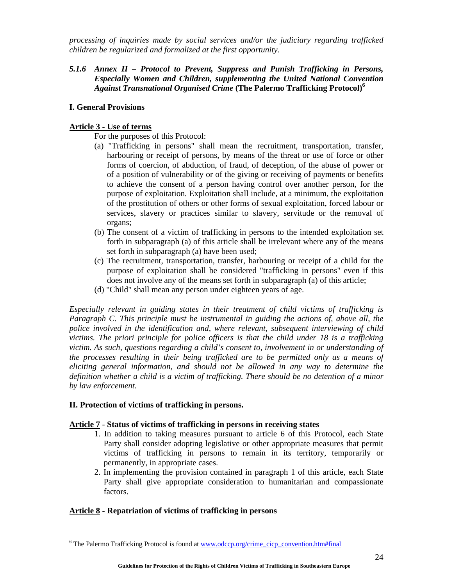*processing of inquiries made by social services and/or the judiciary regarding trafficked children be regularized and formalized at the first opportunity.* 

# *5.1.6 Annex II – Protocol to Prevent, Suppress and Punish Trafficking in Persons, Especially Women and Children, supplementing the United National Convention Against Transnational Organised Crime* **(The Palermo Trafficking Protocol)<sup>6</sup>**

#### **I. General Provisions**

#### **Article 3 - Use of terms**

For the purposes of this Protocol:

- (a) "Trafficking in persons" shall mean the recruitment, transportation, transfer, harbouring or receipt of persons, by means of the threat or use of force or other forms of coercion, of abduction, of fraud, of deception, of the abuse of power or of a position of vulnerability or of the giving or receiving of payments or benefits to achieve the consent of a person having control over another person, for the purpose of exploitation. Exploitation shall include, at a minimum, the exploitation of the prostitution of others or other forms of sexual exploitation, forced labour or services, slavery or practices similar to slavery, servitude or the removal of organs;
- (b) The consent of a victim of trafficking in persons to the intended exploitation set forth in subparagraph (a) of this article shall be irrelevant where any of the means set forth in subparagraph (a) have been used;
- (c) The recruitment, transportation, transfer, harbouring or receipt of a child for the purpose of exploitation shall be considered "trafficking in persons" even if this does not involve any of the means set forth in subparagraph (a) of this article;
- (d) "Child" shall mean any person under eighteen years of age.

*Especially relevant in guiding states in their treatment of child victims of trafficking is Paragraph C. This principle must be instrumental in guiding the actions of, above all, the police involved in the identification and, where relevant, subsequent interviewing of child victims. The priori principle for police officers is that the child under 18 is a trafficking victim. As such, questions regarding a child's consent to, involvement in or understanding of the processes resulting in their being trafficked are to be permitted only as a means of eliciting general information, and should not be allowed in any way to determine the definition whether a child is a victim of trafficking. There should be no detention of a minor by law enforcement.* 

#### **II. Protection of victims of trafficking in persons.**

#### **Article 7 - Status of victims of trafficking in persons in receiving states**

- 1. In addition to taking measures pursuant to article 6 of this Protocol, each State Party shall consider adopting legislative or other appropriate measures that permit victims of trafficking in persons to remain in its territory, temporarily or permanently, in appropriate cases.
- 2. In implementing the provision contained in paragraph 1 of this article, each State Party shall give appropriate consideration to humanitarian and compassionate factors.

# **Article 8 - Repatriation of victims of trafficking in persons**

-

<sup>&</sup>lt;sup>6</sup> The Palermo Trafficking Protocol is found at **www.odccp.org/crime\_cicp\_convention.htm#final**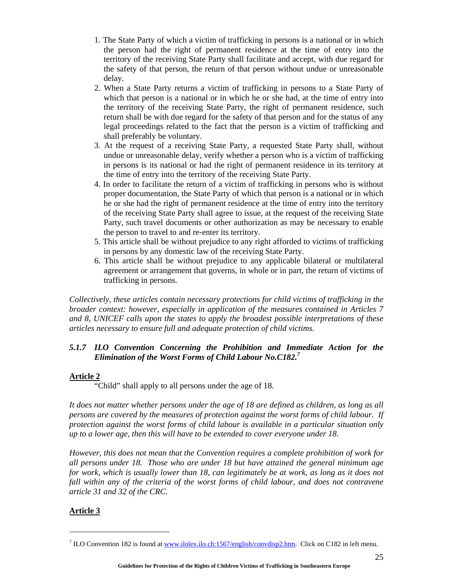- 1. The State Party of which a victim of trafficking in persons is a national or in which the person had the right of permanent residence at the time of entry into the territory of the receiving State Party shall facilitate and accept, with due regard for the safety of that person, the return of that person without undue or unreasonable delay.
- 2. When a State Party returns a victim of trafficking in persons to a State Party of which that person is a national or in which he or she had, at the time of entry into the territory of the receiving State Party, the right of permanent residence, such return shall be with due regard for the safety of that person and for the status of any legal proceedings related to the fact that the person is a victim of trafficking and shall preferably be voluntary.
- 3. At the request of a receiving State Party, a requested State Party shall, without undue or unreasonable delay, verify whether a person who is a victim of trafficking in persons is its national or had the right of permanent residence in its territory at the time of entry into the territory of the receiving State Party.
- 4. In order to facilitate the return of a victim of trafficking in persons who is without proper documentation, the State Party of which that person is a national or in which he or she had the right of permanent residence at the time of entry into the territory of the receiving State Party shall agree to issue, at the request of the receiving State Party, such travel documents or other authorization as may be necessary to enable the person to travel to and re-enter its territory.
- 5. This article shall be without prejudice to any right afforded to victims of trafficking in persons by any domestic law of the receiving State Party.
- 6. This article shall be without prejudice to any applicable bilateral or multilateral agreement or arrangement that governs, in whole or in part, the return of victims of trafficking in persons.

*Collectively, these articles contain necessary protections for child victims of trafficking in the broader context: however, especially in application of the measures contained in Articles 7 and 8, UNICEF calls upon the states to apply the broadest possible interpretations of these articles necessary to ensure full and adequate protection of child victims.* 

# *5.1.7 ILO Convention Concerning the Prohibition and Immediate Action for the Elimination of the Worst Forms of Child Labour No.C182.<sup>7</sup>*

# **Article 2**

"Child" shall apply to all persons under the age of 18.

*It does not matter whether persons under the age of 18 are defined as children, as long as all persons are covered by the measures of protection against the worst forms of child labour. If protection against the worst forms of child labour is available in a particular situation only up to a lower age, then this will have to be extended to cover everyone under 18.* 

*However, this does not mean that the Convention requires a complete prohibition of work for all persons under 18. Those who are under 18 but have attained the general minimum age for work, which is usually lower than 18, can legitimately be at work, as long as it does not*  fall within any of the criteria of the worst forms of child labour, and does not contravene *article 31 and 32 of the CRC.* 

# **Article 3**

-

<sup>&</sup>lt;sup>7</sup> ILO Convention 182 is found at <u>www.ilolex.ilo.ch:1567/english/convdisp2.htm</u>. Click on C182 in left menu.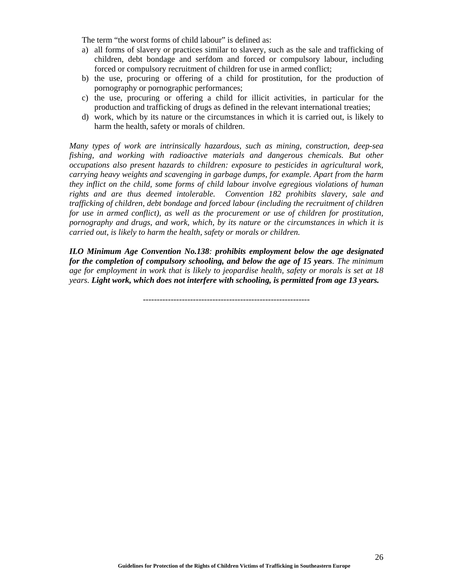The term "the worst forms of child labour" is defined as:

- a) all forms of slavery or practices similar to slavery, such as the sale and trafficking of children, debt bondage and serfdom and forced or compulsory labour, including forced or compulsory recruitment of children for use in armed conflict;
- b) the use, procuring or offering of a child for prostitution, for the production of pornography or pornographic performances;
- c) the use, procuring or offering a child for illicit activities, in particular for the production and trafficking of drugs as defined in the relevant international treaties;
- d) work, which by its nature or the circumstances in which it is carried out, is likely to harm the health, safety or morals of children.

*Many types of work are intrinsically hazardous, such as mining, construction, deep-sea fishing, and working with radioactive materials and dangerous chemicals. But other occupations also present hazards to children: exposure to pesticides in agricultural work, carrying heavy weights and scavenging in garbage dumps, for example. Apart from the harm they inflict on the child, some forms of child labour involve egregious violations of human rights and are thus deemed intolerable. Convention 182 prohibits slavery, sale and trafficking of children, debt bondage and forced labour (including the recruitment of children for use in armed conflict), as well as the procurement or use of children for prostitution, pornography and drugs, and work, which, by its nature or the circumstances in which it is carried out, is likely to harm the health, safety or morals or children.* 

*ILO Minimum Age Convention No.138: prohibits employment below the age designated for the completion of compulsory schooling, and below the age of 15 years. The minimum age for employment in work that is likely to jeopardise health, safety or morals is set at 18 years. Light work, which does not interfere with schooling, is permitted from age 13 years.* 

*------------------------------------------------------------*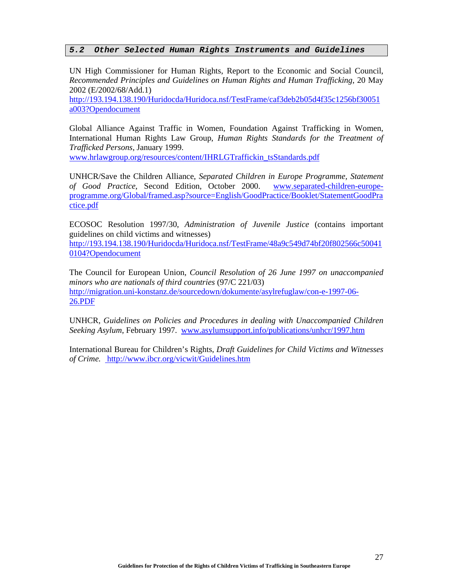#### *5.2 Other Selected Human Rights Instruments and Guidelines*

UN High Commissioner for Human Rights, Report to the Economic and Social Council, *Recommended Principles and Guidelines on Human Rights and Human Trafficking*, 20 May 2002 (E/2002/68/Add.1)

http://193.194.138.190/Huridocda/Huridoca.nsf/TestFrame/caf3deb2b05d4f35c1256bf30051 a003?Opendocument

Global Alliance Against Traffic in Women, Foundation Against Trafficking in Women, International Human Rights Law Group, *Human Rights Standards for the Treatment of Trafficked Persons,* January 1999.

www.hrlawgroup.org/resources/content/IHRLGTraffickin\_tsStandards.pdf

UNHCR/Save the Children Alliance, *Separated Children in Europe Programme, Statement of Good Practice*, Second Edition, October 2000. www.separated-children-europeprogramme.org/Global/framed.asp?source=English/GoodPractice/Booklet/StatementGoodPra ctice.pdf

ECOSOC Resolution 1997/30, *Administration of Juvenile Justice* (contains important guidelines on child victims and witnesses)

http://193.194.138.190/Huridocda/Huridoca.nsf/TestFrame/48a9c549d74bf20f802566c50041 0104?Opendocument

The Council for European Union, *Council Resolution of 26 June 1997 on unaccompanied minors who are nationals of third countries* (97/C 221/03) http://migration.uni-konstanz.de/sourcedown/dokumente/asylrefuglaw/con-e-1997-06- 26.PDF

UNHCR, *Guidelines on Policies and Procedures in dealing with Unaccompanied Children Seeking Asylum*, February 1997. www.asylumsupport.info/publications/unhcr/1997.htm

International Bureau for Children's Rights, *Draft Guidelines for Child Victims and Witnesses of Crime.* http://www.ibcr.org/vicwit/Guidelines.htm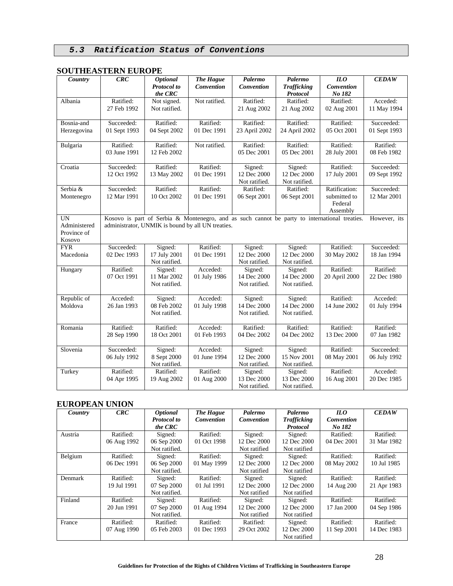# *5.3 Ratification Status of Conventions*

| e meho min'i benoi b                               |                            |                                                   |                                |                                         |                                                  |                                                                                               |                            |  |
|----------------------------------------------------|----------------------------|---------------------------------------------------|--------------------------------|-----------------------------------------|--------------------------------------------------|-----------------------------------------------------------------------------------------------|----------------------------|--|
| Country                                            | CRC                        | <b>Optional</b><br><b>Protocol to</b><br>the CRC  | <b>The Hague</b><br>Convention | Palermo<br><b>Convention</b>            | Palermo<br><b>Trafficking</b><br><b>Protocol</b> | $_{ILO}$<br>Convention<br>No 182                                                              | <b>CEDAW</b>               |  |
| Albania                                            | Ratified:<br>27 Feb 1992   | Not signed.<br>Not ratified.                      | Not ratified.                  | Ratified:<br>21 Aug 2002                | Ratified:<br>21 Aug 2002                         | Ratified:<br>02 Aug 2001                                                                      | Acceded:<br>11 May 1994    |  |
| Bosnia-and<br>Herzegovina                          | Succeeded:<br>01 Sept 1993 | Ratified:<br>04 Sept 2002                         | Ratified:<br>01 Dec 1991       | Ratified:<br>23 April 2002              | Ratified:<br>24 April 2002                       | Ratified:<br>05 Oct 2001                                                                      | Succeeded:<br>01 Sept 1993 |  |
| Bulgaria                                           | Ratified:<br>03 June 1991  | Ratified:<br>12 Feb 2002                          | Not ratified.                  | Ratified:<br>05 Dec 2001                | Ratified:<br>05 Dec 2001                         | Ratified:<br>28 July 2001                                                                     | Ratified:<br>08 Feb 1982   |  |
| Croatia                                            | Succeeded:<br>12 Oct 1992  | Ratified:<br>13 May 2002                          | Ratified:<br>01 Dec 1991       | Signed:<br>12 Dec 2000<br>Not ratified. | Signed:<br>12 Dec 2000<br>Not ratified.          | Ratified:<br>17 July 2001                                                                     | Succeeded:<br>09 Sept 1992 |  |
| Serbia &<br>Montenegro                             | Succeeded:<br>12 Mar 1991  | Ratified:<br>10 Oct 2002                          | Ratified:<br>01 Dec 1991       | Ratified:<br>06 Sept 2001               | Ratified:<br>06 Sept 2001                        | Ratification:<br>submitted to<br>Federal<br>Assembly                                          | Succeeded:<br>12 Mar 2001  |  |
| <b>UN</b><br>Administered<br>Province of<br>Kosovo |                            | administrator, UNMIK is bound by all UN treaties. |                                |                                         |                                                  | Kosovo is part of Serbia & Montenegro, and as such cannot be party to international treaties. | However, its               |  |
| <b>FYR</b><br>Macedonia                            | Succeeded:<br>02 Dec 1993  | Signed:<br>17 July 2001<br>Not ratified.          | Ratified:<br>01 Dec 1991       | Signed:<br>12 Dec 2000<br>Not ratified. | Signed:<br>12 Dec 2000<br>Not ratified.          | Ratified:<br>30 May 2002                                                                      | Succeeded:<br>18 Jan 1994  |  |
| Hungary                                            | Ratified:<br>07 Oct 1991   | Signed:<br>11 Mar 2002<br>Not ratified.           | Acceded:<br>01 July 1986       | Signed:<br>14 Dec 2000<br>Not ratified. | Signed:<br>14 Dec 2000<br>Not ratified.          | Ratified:<br>20 April 2000                                                                    | Ratified:<br>22 Dec 1980   |  |
| Republic of<br>Moldova                             | Acceded:<br>26 Jan 1993    | Signed:<br>08 Feb 2002<br>Not ratified.           | Acceded:<br>01 July 1998       | Signed:<br>14 Dec 2000<br>Not ratified. | Signed:<br>14 Dec 2000<br>Not ratified.          | Ratified:<br>14 June 2002                                                                     | Acceded:<br>01 July 1994   |  |
| Romania                                            | Ratified:<br>28 Sep 1990   | Ratified:<br>18 Oct 2001                          | Acceded:<br>01 Feb 1993        | Ratified:<br>04 Dec 2002                | Ratified:<br>04 Dec 2002                         | Ratified:<br>13 Dec 2000                                                                      | Ratified:<br>07 Jan 1982   |  |
| Slovenia                                           | Succeeded:<br>06 July 1992 | Signed:<br>8 Sept 2000<br>Not ratified.           | Acceded:<br>01 June 1994       | Signed:<br>12 Dec 2000<br>Not ratified. | Signed:<br>15 Nov 2001<br>Not ratified.          | Ratified:<br>08 May 2001                                                                      | Succeeded:<br>06 July 1992 |  |
| Turkey                                             | Ratified:<br>04 Apr 1995   | Ratified:<br>19 Aug 2002                          | Ratified:<br>01 Aug 2000       | Signed:<br>13 Dec 2000<br>Not ratified. | Signed:<br>13 Dec 2000<br>Not ratified.          | Ratified:<br>16 Aug 2001                                                                      | Acceded:<br>20 Dec 1985    |  |

#### **SOUTHEASTERN EUROPE**

#### **EUROPEAN UNION**

| Country | CRC         | <i><b>Optional</b></i> | <b>The Hague</b> | Palermo           | Palermo            | ILO               | <b>CEDAW</b> |
|---------|-------------|------------------------|------------------|-------------------|--------------------|-------------------|--------------|
|         |             | <b>Protocol</b> to     | Convention       | <b>Convention</b> | <b>Trafficking</b> | <b>Convention</b> |              |
|         |             | the CRC                |                  |                   | Protocol           | No 182            |              |
| Austria | Ratified:   | Signed:                | Ratified:        | Signed:           | Signed:            | Ratified:         | Ratified:    |
|         | 06 Aug 1992 | 06 Sep 2000            | 01 Oct 1998      | 12 Dec 2000       | 12 Dec 2000        | 04 Dec 2001       | 31 Mar 1982  |
|         |             | Not ratified.          |                  | Not ratified      | Not ratified       |                   |              |
| Belgium | Ratified:   | Signed:                | Ratified:        | Signed:           | Signed:            | Ratified:         | Ratified:    |
|         | 06 Dec 1991 | 06 Sep 2000            | 01 May 1999      | 12 Dec 2000       | 12 Dec 2000        | 08 May 2002       | 10 Jul 1985  |
|         |             | Not ratified.          |                  | Not ratified      | Not ratified       |                   |              |
| Denmark | Ratified:   | Signed:                | Ratified:        | Signed:           | Signed:            | Ratified:         | Ratified:    |
|         | 19 Jul 1991 | 07 Sep 2000            | 01 Jul 1991      | 12 Dec 2000       | 12 Dec 2000        | 14 Aug 200        | 21 Apr 1983  |
|         |             | Not ratified.          |                  | Not ratified      | Not ratified       |                   |              |
| Finland | Ratified:   | Signed:                | Ratified:        | Signed:           | Signed:            | Ratified:         | Ratified:    |
|         | 20 Jun 1991 | 07 Sep 2000            | 01 Aug 1994      | 12 Dec 2000       | 12 Dec 2000        | 17 Jan 2000       | 04 Sep 1986  |
|         |             | Not ratified.          |                  | Not ratified      | Not ratified       |                   |              |
| France  | Ratified:   | Ratified:              | Ratified:        | Ratified:         | Signed:            | Ratified:         | Ratified:    |
|         | 07 Aug 1990 | 05 Feb 2003            | 01 Dec 1993      | 29 Oct 2002       | 12 Dec 2000        | 11 Sep 2001       | 14 Dec 1983  |
|         |             |                        |                  |                   | Not ratified       |                   |              |